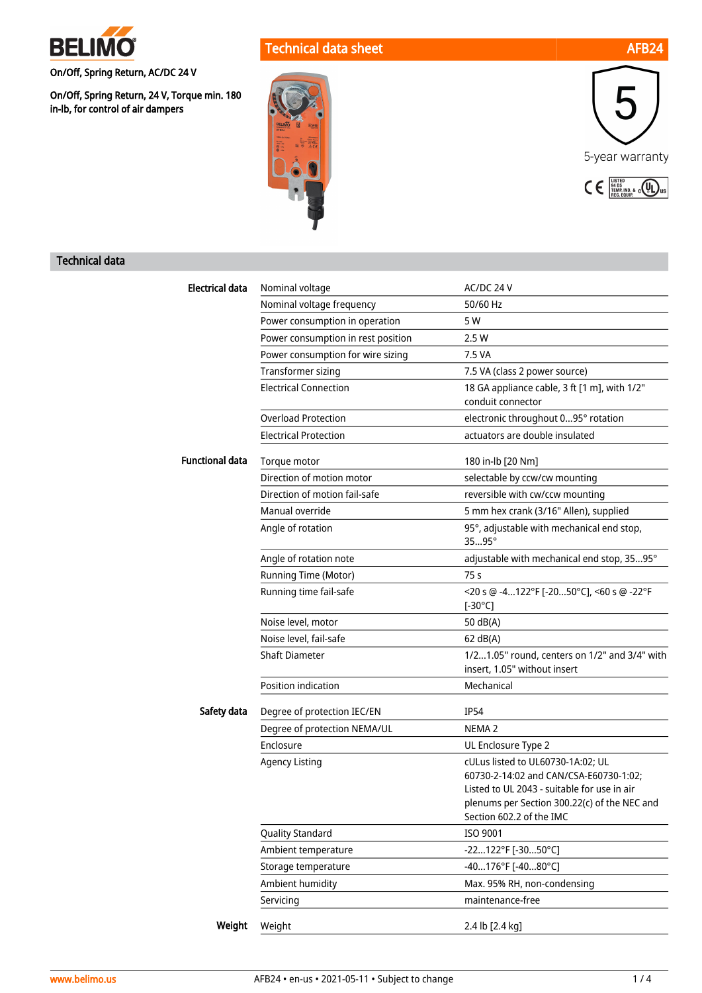

On/Off, Spring Return, AC/DC 24 V

On/Off, Spring Return, 24 V, Torque min. 180 in-lb, for control of air dampers

# Technical data sheet AFB24





## Technical data

| <b>Electrical data</b> | Nominal voltage                    | AC/DC 24 V                                                                                                                                                                                             |
|------------------------|------------------------------------|--------------------------------------------------------------------------------------------------------------------------------------------------------------------------------------------------------|
|                        | Nominal voltage frequency          | 50/60 Hz                                                                                                                                                                                               |
|                        | Power consumption in operation     | 5 W                                                                                                                                                                                                    |
|                        | Power consumption in rest position | 2.5 W                                                                                                                                                                                                  |
|                        | Power consumption for wire sizing  | 7.5 VA                                                                                                                                                                                                 |
|                        | Transformer sizing                 | 7.5 VA (class 2 power source)                                                                                                                                                                          |
|                        | <b>Electrical Connection</b>       | 18 GA appliance cable, 3 ft [1 m], with 1/2"<br>conduit connector                                                                                                                                      |
|                        | <b>Overload Protection</b>         | electronic throughout 095° rotation                                                                                                                                                                    |
|                        | <b>Electrical Protection</b>       | actuators are double insulated                                                                                                                                                                         |
| <b>Functional data</b> | Torque motor                       | 180 in-lb [20 Nm]                                                                                                                                                                                      |
|                        | Direction of motion motor          | selectable by ccw/cw mounting                                                                                                                                                                          |
|                        | Direction of motion fail-safe      | reversible with cw/ccw mounting                                                                                                                                                                        |
|                        | Manual override                    | 5 mm hex crank (3/16" Allen), supplied                                                                                                                                                                 |
|                        | Angle of rotation                  | 95°, adjustable with mechanical end stop,<br>3595°                                                                                                                                                     |
|                        | Angle of rotation note             | adjustable with mechanical end stop, 3595°                                                                                                                                                             |
|                        | Running Time (Motor)               | 75 s                                                                                                                                                                                                   |
|                        | Running time fail-safe             | <20 s @ -4122°F [-2050°C], <60 s @ -22°F<br>$[-30^{\circ}C]$                                                                                                                                           |
|                        | Noise level, motor                 | 50 dB(A)                                                                                                                                                                                               |
|                        | Noise level, fail-safe             | 62 dB(A)                                                                                                                                                                                               |
|                        | <b>Shaft Diameter</b>              | 1/21.05" round, centers on 1/2" and 3/4" with<br>insert, 1.05" without insert                                                                                                                          |
|                        | Position indication                | Mechanical                                                                                                                                                                                             |
| Safety data            | Degree of protection IEC/EN        | <b>IP54</b>                                                                                                                                                                                            |
|                        | Degree of protection NEMA/UL       | NEMA <sub>2</sub>                                                                                                                                                                                      |
|                        | Enclosure                          | UL Enclosure Type 2                                                                                                                                                                                    |
|                        | <b>Agency Listing</b>              | cULus listed to UL60730-1A:02; UL<br>60730-2-14:02 and CAN/CSA-E60730-1:02:<br>Listed to UL 2043 - suitable for use in air<br>plenums per Section 300.22(c) of the NEC and<br>Section 602.2 of the IMC |
|                        | Quality Standard                   | ISO 9001                                                                                                                                                                                               |
|                        | Ambient temperature                | -22122°F [-3050°C]                                                                                                                                                                                     |
|                        | Storage temperature                | -40176°F [-4080°C]                                                                                                                                                                                     |
|                        | Ambient humidity                   | Max. 95% RH, non-condensing                                                                                                                                                                            |
|                        | Servicing                          | maintenance-free                                                                                                                                                                                       |
| Weight                 | Weight                             | 2.4 lb [2.4 kg]                                                                                                                                                                                        |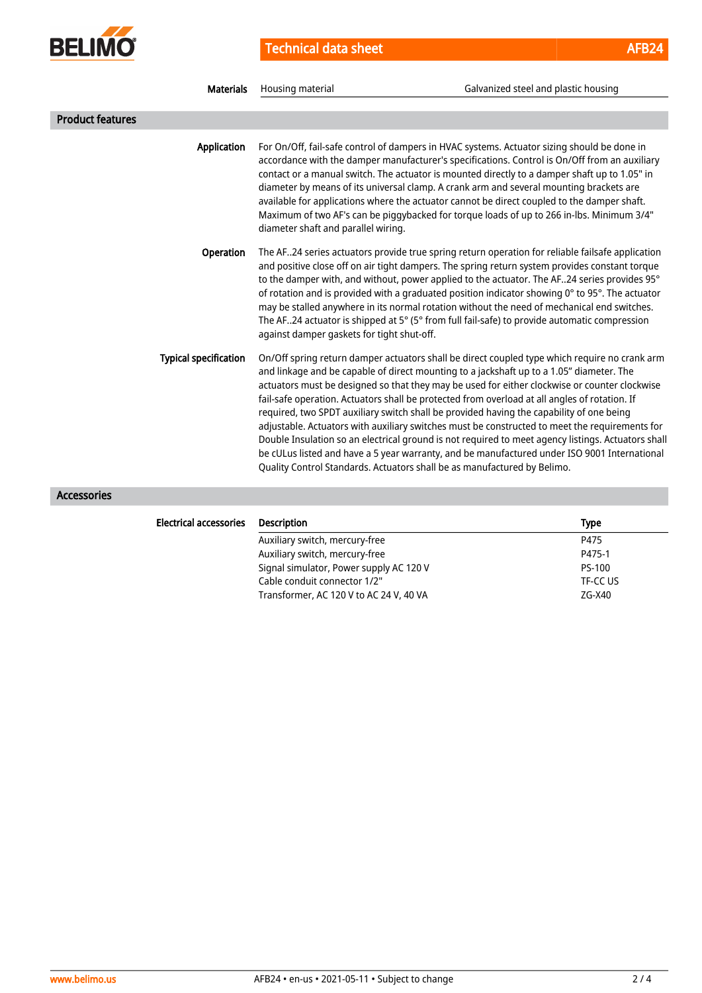

Technical data sheet AFB24

| <b>Materials</b>             | Housing material                           | Galvanized steel and plastic housing                                                                                                                                                                                                                                                                                                                                                                                                                                                                                                                                                                                                                                                                                                                                                                                                                                        |
|------------------------------|--------------------------------------------|-----------------------------------------------------------------------------------------------------------------------------------------------------------------------------------------------------------------------------------------------------------------------------------------------------------------------------------------------------------------------------------------------------------------------------------------------------------------------------------------------------------------------------------------------------------------------------------------------------------------------------------------------------------------------------------------------------------------------------------------------------------------------------------------------------------------------------------------------------------------------------|
| <b>Product features</b>      |                                            |                                                                                                                                                                                                                                                                                                                                                                                                                                                                                                                                                                                                                                                                                                                                                                                                                                                                             |
| <b>Application</b>           | diameter shaft and parallel wiring.        | For On/Off, fail-safe control of dampers in HVAC systems. Actuator sizing should be done in<br>accordance with the damper manufacturer's specifications. Control is On/Off from an auxiliary<br>contact or a manual switch. The actuator is mounted directly to a damper shaft up to 1.05" in<br>diameter by means of its universal clamp. A crank arm and several mounting brackets are<br>available for applications where the actuator cannot be direct coupled to the damper shaft.<br>Maximum of two AF's can be piggybacked for torque loads of up to 266 in-lbs. Minimum 3/4"                                                                                                                                                                                                                                                                                        |
| Operation                    | against damper gaskets for tight shut-off. | The AF24 series actuators provide true spring return operation for reliable failsafe application<br>and positive close off on air tight dampers. The spring return system provides constant torque<br>to the damper with, and without, power applied to the actuator. The AF24 series provides 95°<br>of rotation and is provided with a graduated position indicator showing 0° to 95°. The actuator<br>may be stalled anywhere in its normal rotation without the need of mechanical end switches.<br>The AF24 actuator is shipped at 5° (5° from full fail-safe) to provide automatic compression                                                                                                                                                                                                                                                                        |
| <b>Typical specification</b> |                                            | On/Off spring return damper actuators shall be direct coupled type which require no crank arm<br>and linkage and be capable of direct mounting to a jackshaft up to a 1.05" diameter. The<br>actuators must be designed so that they may be used for either clockwise or counter clockwise<br>fail-safe operation. Actuators shall be protected from overload at all angles of rotation. If<br>required, two SPDT auxiliary switch shall be provided having the capability of one being<br>adjustable. Actuators with auxiliary switches must be constructed to meet the requirements for<br>Double Insulation so an electrical ground is not required to meet agency listings. Actuators shall<br>be cULus listed and have a 5 year warranty, and be manufactured under ISO 9001 International<br>Quality Control Standards. Actuators shall be as manufactured by Belimo. |
| Accessories                  |                                            |                                                                                                                                                                                                                                                                                                                                                                                                                                                                                                                                                                                                                                                                                                                                                                                                                                                                             |

| <b>Electrical accessories</b> | <b>Description</b>                      | <b>Type</b> |
|-------------------------------|-----------------------------------------|-------------|
|                               | Auxiliary switch, mercury-free          | P475        |
|                               | Auxiliary switch, mercury-free          | P475-1      |
|                               | Signal simulator, Power supply AC 120 V | PS-100      |
|                               | Cable conduit connector 1/2"            | TF-CC US    |
|                               | Transformer, AC 120 V to AC 24 V, 40 VA | ZG-X40      |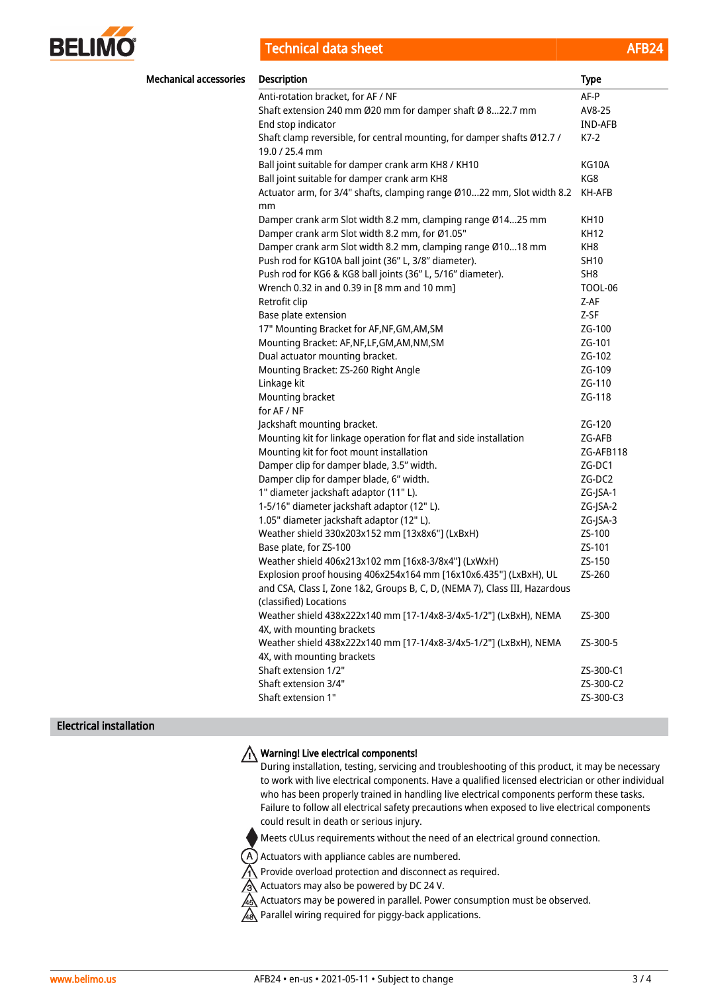

**Technical data sheet** 

| <b>Mechanical accessories</b> | <b>Description</b>                                                                                   | <b>Type</b>     |
|-------------------------------|------------------------------------------------------------------------------------------------------|-----------------|
|                               | Anti-rotation bracket, for AF / NF                                                                   | AF-P            |
|                               | Shaft extension 240 mm Ø20 mm for damper shaft Ø 822.7 mm                                            | AV8-25          |
|                               | End stop indicator                                                                                   | IND-AFB         |
|                               | Shaft clamp reversible, for central mounting, for damper shafts Ø12.7 /<br>19.0 / 25.4 mm            | $K7-2$          |
|                               | Ball joint suitable for damper crank arm KH8 / KH10                                                  | KG10A           |
|                               | Ball joint suitable for damper crank arm KH8                                                         | KG8             |
|                               | Actuator arm, for 3/4" shafts, clamping range Ø1022 mm, Slot width 8.2<br>mm                         | KH-AFB          |
|                               | Damper crank arm Slot width 8.2 mm, clamping range Ø1425 mm                                          | <b>KH10</b>     |
|                               | Damper crank arm Slot width 8.2 mm, for Ø1.05"                                                       | <b>KH12</b>     |
|                               | Damper crank arm Slot width 8.2 mm, clamping range Ø1018 mm                                          | KH <sub>8</sub> |
|                               | Push rod for KG10A ball joint (36" L, 3/8" diameter).                                                | <b>SH10</b>     |
|                               | Push rod for KG6 & KG8 ball joints (36" L, 5/16" diameter).                                          | SH <sub>8</sub> |
|                               | Wrench 0.32 in and 0.39 in [8 mm and 10 mm]                                                          | <b>TOOL-06</b>  |
|                               | Retrofit clip                                                                                        | Z-AF            |
|                               | Base plate extension                                                                                 | Z-SF            |
|                               | 17" Mounting Bracket for AF, NF, GM, AM, SM                                                          | ZG-100          |
|                               | Mounting Bracket: AF, NF, LF, GM, AM, NM, SM                                                         | ZG-101          |
|                               | Dual actuator mounting bracket.                                                                      | ZG-102          |
|                               | Mounting Bracket: ZS-260 Right Angle                                                                 | ZG-109          |
|                               | Linkage kit                                                                                          | ZG-110          |
|                               | Mounting bracket                                                                                     | ZG-118          |
|                               | for AF / NF                                                                                          |                 |
|                               | Jackshaft mounting bracket.                                                                          | ZG-120          |
|                               | Mounting kit for linkage operation for flat and side installation                                    | ZG-AFB          |
|                               | Mounting kit for foot mount installation                                                             | ZG-AFB118       |
|                               | Damper clip for damper blade, 3.5" width.                                                            | ZG-DC1          |
|                               | Damper clip for damper blade, 6" width.                                                              | ZG-DC2          |
|                               | 1" diameter jackshaft adaptor (11" L).                                                               | ZG-JSA-1        |
|                               | 1-5/16" diameter jackshaft adaptor (12" L).                                                          | ZG-JSA-2        |
|                               | 1.05" diameter jackshaft adaptor (12" L).                                                            | ZG-JSA-3        |
|                               | Weather shield 330x203x152 mm [13x8x6"] (LxBxH)                                                      | ZS-100          |
|                               | Base plate, for ZS-100                                                                               | ZS-101          |
|                               | Weather shield 406x213x102 mm [16x8-3/8x4"] (LxWxH)                                                  | ZS-150          |
|                               | Explosion proof housing 406x254x164 mm [16x10x6.435"] (LxBxH), UL                                    | ZS-260          |
|                               | and CSA, Class I, Zone 1&2, Groups B, C, D, (NEMA 7), Class III, Hazardous<br>(classified) Locations |                 |
|                               | Weather shield 438x222x140 mm [17-1/4x8-3/4x5-1/2"] (LxBxH), NEMA<br>4X, with mounting brackets      | ZS-300          |
|                               | Weather shield 438x222x140 mm [17-1/4x8-3/4x5-1/2"] (LxBxH), NEMA<br>4X, with mounting brackets      | ZS-300-5        |
|                               | Shaft extension 1/2"                                                                                 | ZS-300-C1       |
|                               | Shaft extension 3/4"                                                                                 | ZS-300-C2       |
|                               | Shaft extension 1"                                                                                   | ZS-300-C3       |

### Electrical installation

# Warning! Live electrical components!

During installation, testing, servicing and troubleshooting of this product, it may be necessary to work with live electrical components. Have a qualified licensed electrician or other individual who has been properly trained in handling live electrical components perform these tasks. Failure to follow all electrical safety precautions when exposed to live electrical components could result in death or serious injury.

Meets cULus requirements without the need of an electrical ground connection.

 $(A)$  Actuators with appliance cables are numbered.

A Provide overload protection and disconnect as required.

Actuators may also be powered by DC 24 V.

 $\overline{48}$  Actuators may be powered in parallel. Power consumption must be observed.

A Parallel wiring required for piggy-back applications.